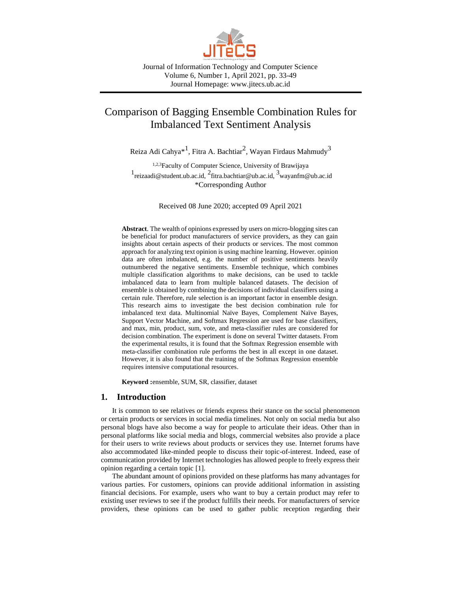

Journal of Information Technology and Computer Science Volume 6, Number 1, April 2021, pp. 33-49 Journal Homepage: www.jitecs.ub.ac.id

# Comparison of Bagging Ensemble Combination Rules for Imbalanced Text Sentiment Analysis

Reiza Adi Cahya $^{\ast1}$ , Fitra A. Bachtiar $^2$ , Wayan Firdaus Mahmudy $^3$ 

1,2,3Faculty of Computer Science, University of Brawijaya <sup>1</sup> reizaadi@student.ub.ac.id, <sup>2</sup>fitra.bachtiar@ub.ac.id, <sup>3</sup>wayanfm@ub.ac.id \*Corresponding Author

Received 08 June 2020; accepted 09 April 2021

**Abstract**. The wealth of opinions expressed by users on micro-blogging sites can be beneficial for product manufacturers of service providers, as they can gain insights about certain aspects of their products or services. The most common approach for analyzing text opinion is using machine learning. However. opinion data are often imbalanced, e.g. the number of positive sentiments heavily outnumbered the negative sentiments. Ensemble technique, which combines multiple classification algorithms to make decisions, can be used to tackle imbalanced data to learn from multiple balanced datasets. The decision of ensemble is obtained by combining the decisions of individual classifiers using a certain rule. Therefore, rule selection is an important factor in ensemble design. This research aims to investigate the best decision combination rule for imbalanced text data. Multinomial Naïve Bayes, Complement Naïve Bayes, Support Vector Machine, and Softmax Regression are used for base classifiers, and max, min, product, sum, vote, and meta-classifier rules are considered for decision combination. The experiment is done on several Twitter datasets. From the experimental results, it is found that the Softmax Regression ensemble with meta-classifier combination rule performs the best in all except in one dataset. However, it is also found that the training of the Softmax Regression ensemble requires intensive computational resources.

**Keyword :**ensemble, SUM, SR, classifier, dataset

# **1. Introduction**

It is common to see relatives or friends express their stance on the social phenomenon or certain products or services in social media timelines. Not only on social media but also personal blogs have also become a way for people to articulate their ideas. Other than in personal platforms like social media and blogs, commercial websites also provide a place for their users to write reviews about products or services they use. Internet forums have also accommodated like-minded people to discuss their topic-of-interest. Indeed, ease of communication provided by Internet technologies has allowed people to freely express their opinion regarding a certain topic [1].

The abundant amount of opinions provided on these platforms has many advantages for various parties. For customers, opinions can provide additional information in assisting financial decisions. For example, users who want to buy a certain product may refer to existing user reviews to see if the product fulfills their needs. For manufacturers of service providers, these opinions can be used to gather public reception regarding their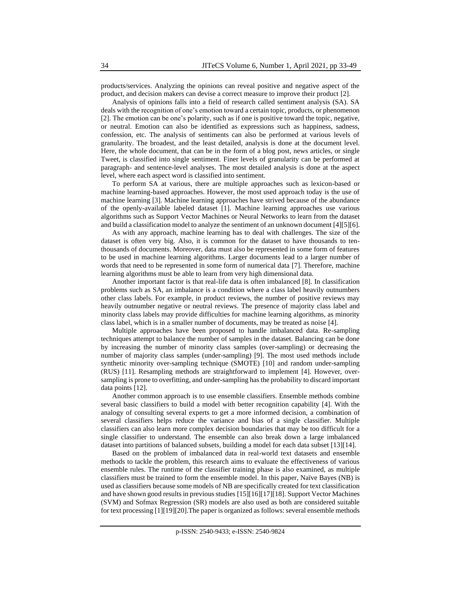products/services. Analyzing the opinions can reveal positive and negative aspect of the product, and decision makers can devise a correct measure to improve their product [2].

Analysis of opinions falls into a field of research called sentiment analysis (SA). SA deals with the recognition of one's emotion toward a certain topic, products, or phenomenon [2]. The emotion can be one's polarity, such as if one is positive toward the topic, negative, or neutral. Emotion can also be identified as expressions such as happiness, sadness, confession, etc. The analysis of sentiments can also be performed at various levels of granularity. The broadest, and the least detailed, analysis is done at the document level. Here, the whole document, that can be in the form of a blog post, news articles, or single Tweet, is classified into single sentiment. Finer levels of granularity can be performed at paragraph- and sentence-level analyses. The most detailed analysis is done at the aspect level, where each aspect word is classified into sentiment.

To perform SA at various, there are multiple approaches such as lexicon-based or machine learning-based approaches. However, the most used approach today is the use of machine learning [3]. Machine learning approaches have strived because of the abundance of the openly-available labeled dataset [1]. Machine learning approaches use various algorithms such as Support Vector Machines or Neural Networks to learn from the dataset and build a classification model to analyze the sentiment of an unknown document [4][5][6].

As with any approach, machine learning has to deal with challenges. The size of the dataset is often very big. Also, it is common for the dataset to have thousands to tenthousands of documents. Moreover, data must also be represented in some form of features to be used in machine learning algorithms. Larger documents lead to a larger number of words that need to be represented in some form of numerical data [7]. Therefore, machine learning algorithms must be able to learn from very high dimensional data.

Another important factor is that real-life data is often imbalanced [8]. In classification problems such as SA, an imbalance is a condition where a class label heavily outnumbers other class labels. For example, in product reviews, the number of positive reviews may heavily outnumber negative or neutral reviews. The presence of majority class label and minority class labels may provide difficulties for machine learning algorithms, as minority class label, which is in a smaller number of documents, may be treated as noise [4].

Multiple approaches have been proposed to handle imbalanced data. Re-sampling techniques attempt to balance the number of samples in the dataset. Balancing can be done by increasing the number of minority class samples (over-sampling) or decreasing the number of majority class samples (under-sampling) [9]. The most used methods include synthetic minority over-sampling technique (SMOTE) [10] and random under-sampling (RUS) [11]. Resampling methods are straightforward to implement [4]. However, oversampling is prone to overfitting, and under-sampling has the probability to discard important data points [12].

Another common approach is to use ensemble classifiers. Ensemble methods combine several basic classifiers to build a model with better recognition capability [4]. With the analogy of consulting several experts to get a more informed decision, a combination of several classifiers helps reduce the variance and bias of a single classifier. Multiple classifiers can also learn more complex decision boundaries that may be too difficult for a single classifier to understand. The ensemble can also break down a large imbalanced dataset into partitions of balanced subsets, building a model for each data subset [13][14].

Based on the problem of imbalanced data in real-world text datasets and ensemble methods to tackle the problem, this research aims to evaluate the effectiveness of various ensemble rules. The runtime of the classifier training phase is also examined, as multiple classifiers must be trained to form the ensemble model. In this paper, Naïve Bayes (NB) is used as classifiers because some models of NB are specifically created for text classification and have shown good results in previous studies [15][16][17][18]. Support Vector Machines (SVM) and Sofmax Regression (SR) models are also used as both are considered suitable for text processing [1][19][20].The paper is organized as follows: several ensemble methods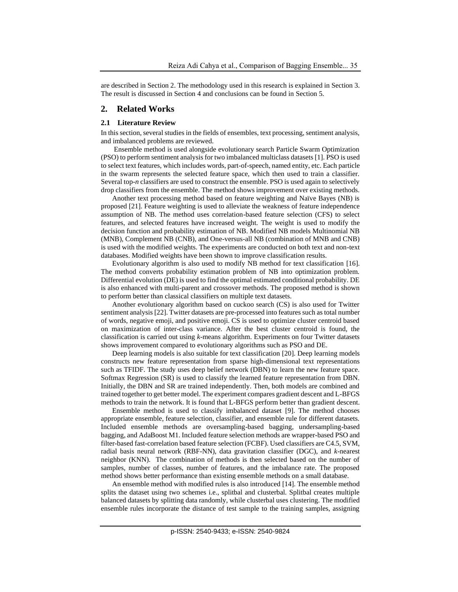are described in Section 2. The methodology used in this research is explained in Section 3. The result is discussed in Section 4 and conclusions can be found in Section 5.

## **2. Related Works**

#### **2.1 Literature Review**

In this section, several studies in the fields of ensembles, text processing, sentiment analysis, and imbalanced problems are reviewed.

Ensemble method is used alongside evolutionary search Particle Swarm Optimization (PSO) to perform sentiment analysis for two imbalanced multiclass datasets [1]. PSO is used to select text features, which includes words, part-of-speech, named entity, etc. Each particle in the swarm represents the selected feature space, which then used to train a classifier. Several top-*n* classifiers are used to construct the ensemble. PSO is used again to selectively drop classifiers from the ensemble. The method shows improvement over existing methods.

Another text processing method based on feature weighting and Naïve Bayes (NB) is proposed [21]. Feature weighting is used to alleviate the weakness of feature independence assumption of NB. The method uses correlation-based feature selection (CFS) to select features, and selected features have increased weight. The weight is used to modify the decision function and probability estimation of NB. Modified NB models Multinomial NB (MNB), Complement NB (CNB), and One-versus-all NB (combination of MNB and CNB) is used with the modified weights. The experiments are conducted on both text and non-text databases. Modified weights have been shown to improve classification results.

Evolutionary algorithm is also used to modify NB method for text classification [16]. The method converts probability estimation problem of NB into optimization problem. Differential evolution (DE) is used to find the optimal estimated conditional probability. DE is also enhanced with multi-parent and crossover methods. The proposed method is shown to perform better than classical classifiers on multiple text datasets.

Another evolutionary algorithm based on cuckoo search (CS) is also used for Twitter sentiment analysis [22]. Twitter datasets are pre-processed into features such as total number of words, negative emoji, and positive emoji. CS is used to optimize cluster centroid based on maximization of inter-class variance. After the best cluster centroid is found, the classification is carried out using *k*-means algorithm. Experiments on four Twitter datasets shows improvement compared to evolutionary algorithms such as PSO and DE.

Deep learning models is also suitable for text classification [20]. Deep learning models constructs new feature representation from sparse high-dimensional text representations such as TFIDF. The study uses deep belief network (DBN) to learn the new feature space. Softmax Regression (SR) is used to classify the learned feature representation from DBN. Initially, the DBN and SR are trained independently. Then, both models are combined and trained together to get better model. The experiment compares gradient descent and L-BFGS methods to train the network. It is found that L-BFGS perform better than gradient descent.

Ensemble method is used to classify imbalanced dataset [9]. The method chooses appropriate ensemble, feature selection, classifier, and ensemble rule for different datasets. Included ensemble methods are oversampling-based bagging, undersampling-based bagging, and AdaBoost M1. Included feature selection methods are wrapper-based PSO and filter-based fast-correlation based feature selection (FCBF). Used classifiers are C4.5, SVM, radial basis neural network (RBF-NN), data gravitation classifier (DGC), and *k*-nearest neighbor (KNN). The combination of methods is then selected based on the number of samples, number of classes, number of features, and the imbalance rate. The proposed method shows better performance than existing ensemble methods on a small database.

An ensemble method with modified rules is also introduced [14]. The ensemble method splits the dataset using two schemes i.e., splitbal and clusterbal. Splitbal creates multiple balanced datasets by splitting data randomly, while clusterbal uses clustering. The modified ensemble rules incorporate the distance of test sample to the training samples, assigning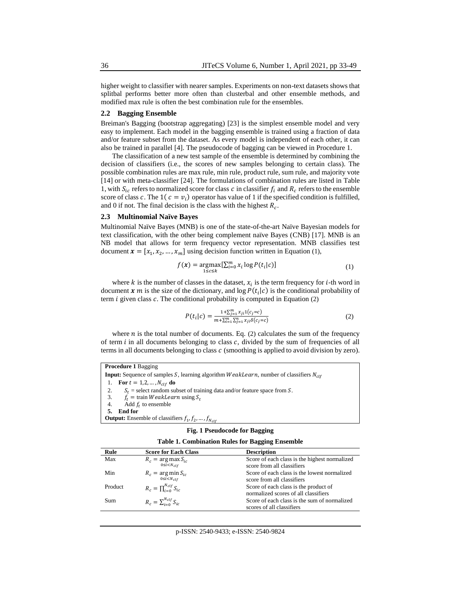higher weight to classifier with nearer samples. Experiments on non-text datasets shows that splitbal performs better more often than clusterbal and other ensemble methods, and modified max rule is often the best combination rule for the ensembles.

#### **2.2 Bagging Ensemble**

Breiman's Bagging (bootstrap aggregating) [23] is the simplest ensemble model and very easy to implement. Each model in the bagging ensemble is trained using a fraction of data and/or feature subset from the dataset. As every model is independent of each other, it can also be trained in parallel [4]. The pseudocode of bagging can be viewed in Procedure 1.

The classification of a new test sample of the ensemble is determined by combining the decision of classifiers (i.e., the scores of new samples belonging to certain class). The possible combination rules are max rule, min rule, product rule, sum rule, and majority vote [14] or with meta-classifier [24]. The formulations of combination rules are listed in [Table](#page-3-0)  [1,](#page-3-0) with  $S_{ic}$  refers to normalized score for class c in classifier  $f_i$  and  $R_c$  refers to the ensemble score of class c. The 1( $c = v_i$ ) operator has value of 1 if the specified condition is fulfilled, and 0 if not. The final decision is the class with the highest  $R_c$ .

#### **2.3 Multinomial Naïve Bayes**

Multinomial Naïve Bayes (MNB) is one of the state-of-the-art Naïve Bayesian models for text classification, with the other being complement naïve Bayes (CNB) [17]. MNB is an NB model that allows for term frequency vector representation. MNB classifies test document  $\mathbf{x} = [x_1, x_2, ..., x_m]$  using decision function written in Equation [\(1\)](#page-3-1),

$$
f(x) = \underset{1 \le c \le k}{\operatorname{argmax}} [\sum_{i=0}^{m} x_i \log P(t_i|c)] \tag{1}
$$

where  $k$  is the number of classes in the dataset,  $x_i$  is the term frequency for *i*-th word in document  $x$  m is the size of the dictionary, and  $\log P(t_i|c)$  is the conditional probability of term  $i$  given class  $c$ . The conditional probability is computed in Equation [\(2\)](#page-3-2)

<span id="page-3-2"></span><span id="page-3-1"></span>
$$
P(t_i|c) = \frac{1 + \sum_{j=1}^{m} x_{ji} 1(c_j = c)}{m + \sum_{i=1}^{m} \sum_{j=1}^{n} x_{ji} \delta(c_j = c)}
$$
(2)

where  $n$  is the total number of documents. Eq. [\(2\)](#page-3-2) calculates the sum of the frequency of term  $i$  in all documents belonging to class  $c$ , divided by the sum of frequencies of all terms in all documents belonging to class  $c$  (smoothing is applied to avoid division by zero).

**Procedure 1** Bagging **Input:** Sequence of samples S, learning algorithm  $WeakLearn$ , number of classifiers  $N_{clf}$ 1. **For**  $t = 1, 2, ..., N_{clf}$  **do** 2.  $S_t$  = select random subset of training data and/or feature space from S.<br>  $\ddot{S}_t$  = train *WeakLearn* using S. 3.  $f_t = \text{train } WeakLearn \text{ using } S_t$ <br>4. Add  $f_t$  to ensemble 4. Add  $f_t$  to ensemble **5. End for Output:** Ensemble of classifiers  $f_1, f_2, ..., f_{N_{clf}}$ 

| Fig. 1 Pseudocode for Bagging                          |  |  |
|--------------------------------------------------------|--|--|
| <b>Table 1. Combination Rules for Bagging Ensemble</b> |  |  |

<span id="page-3-0"></span>

| Rule    | <b>Score for Each Class</b>                  | <b>Description</b>                            |
|---------|----------------------------------------------|-----------------------------------------------|
| Max     | $R_c = \arg \max_{0 \le i < N_{clf}} S_{ic}$ | Score of each class is the highest normalized |
|         |                                              | score from all classifiers                    |
| Min     | $R_c = \argmin_{0 \le i < N_{clf}} S_{ic}$   | Score of each class is the lowest normalized  |
|         |                                              | score from all classifiers                    |
| Product | $R_c = \prod_{i=0}^{N_{clf}} S_{ic}$         | Score of each class is the product of         |
|         |                                              | normalized scores of all classifiers          |
| Sum     | $R_c = \sum_{i=0}^{N_{clf}} S_{ic}$          | Score of each class is the sum of normalized  |
|         |                                              | scores of all classifiers                     |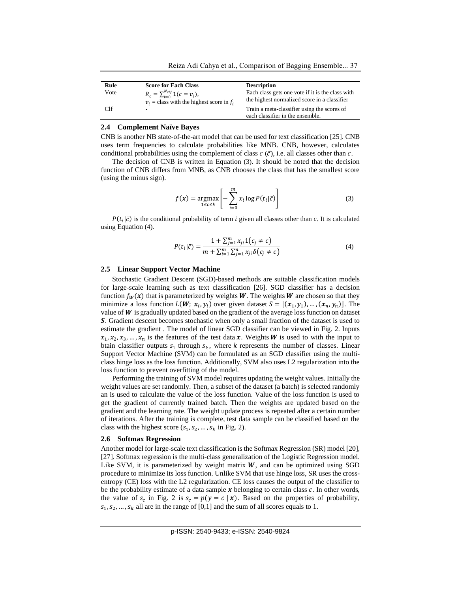| Rule | <b>Score for Each Class</b>                                                               | <b>Description</b>                                                                               |
|------|-------------------------------------------------------------------------------------------|--------------------------------------------------------------------------------------------------|
| Vote | $R_c = \sum_{i=0}^{N_{clf}} 1(c = v_i),$<br>$v_i$ = class with the highest score in $f_i$ | Each class gets one vote if it is the class with<br>the highest normalized score in a classifier |
| Clf  | ۰                                                                                         | Train a meta-classifier using the scores of<br>each classifier in the ensemble.                  |

#### **2.4 Complement Naïve Bayes**

CNB is another NB state-of-the-art model that can be used for text classification [25]. CNB uses term frequencies to calculate probabilities like MNB. CNB, however, calculates conditional probabilities using the complement of class  $c(\bar{c})$ , i.e. all classes other than c.

The decision of CNB is written in Equation [\(3\)](#page-4-0). It should be noted that the decision function of CNB differs from MNB, as CNB chooses the class that has the smallest score (using the minus sign).

<span id="page-4-0"></span>
$$
f(\mathbf{x}) = \underset{1 \le c \le k}{\text{argmax}} \left[ -\sum_{i=0}^{m} x_i \log P(t_i | \bar{c}) \right]
$$
 (3)

 $P(t_i|\bar{c})$  is the conditional probability of term *i* given all classes other than *c*. It is calculated using Equation [\(4\).](#page-4-1)

<span id="page-4-1"></span>
$$
P(t_i|\bar{c}) = \frac{1 + \sum_{j=1}^{m} x_{ji} 1(c_j \neq c)}{m + \sum_{i=1}^{m} \sum_{j=1}^{n} x_{ji} \delta(c_j \neq c)}
$$
(4)

#### **2.5 Linear Support Vector Machine**

Stochastic Gradient Descent (SGD)-based methods are suitable classification models for large-scale learning such as text classification [26]. SGD classifier has a decision function  $f_{w}(x)$  that is parameterized by weights W. The weights W are chosen so that they minimize a loss function  $L(W; x_i, y_i)$  over given dataset  $S = [(x_1, y_1), ..., (x_n, y_n)]$ . The value of  $W$  is gradually updated based on the gradient of the average loss function on dataset . Gradient descent becomes stochastic when only a small fraction of the dataset is used to estimate the gradient . The model of linear SGD classifier can be viewed in [Fig. 2.](#page-5-0) Inputs  $x_1, x_2, x_3, \ldots, x_n$  is the features of the test data x. Weights W is used to with the input to btain classifier outputs  $s_1$  through  $s_k$ , where k represents the number of classes. Linear Support Vector Machine (SVM) can be formulated as an SGD classifier using the multiclass hinge loss as the loss function. Additionally, SVM also uses L2 regularization into the loss function to prevent overfitting of the model.

Performing the training of SVM model requires updating the weight values. Initially the weight values are set randomly. Then, a subset of the dataset (a batch) is selected randomly an is used to calculate the value of the loss function. Value of the loss function is used to get the gradient of currently trained batch. Then the weights are updated based on the gradient and the learning rate. The weight update process is repeated after a certain number of iterations. After the training is complete, test data sample can be classified based on the class with the highest score  $(s_1, s_2, ..., s_k$  in [Fig. 2\)](#page-5-0).

#### **2.6 Softmax Regression**

Another model for large-scale text classification is the Softmax Regression (SR) model [20], [27]. Softmax regression is the multi-class generalization of the Logistic Regression model. Like SVM, it is parameterized by weight matrix  $W$ , and can be optimized using SGD procedure to minimize its loss function. Unlike SVM that use hinge loss, SR uses the crossentropy (CE) loss with the L2 regularization. CE loss causes the output of the classifier to be the probability estimate of a data sample  $x$  belonging to certain class  $c$ . In other words, the value of  $s_c$  in [Fig. 2](#page-5-0) is  $s_c = p(y = c | x)$ . Based on the properties of probability,  $s_1, s_2, \ldots, s_k$  all are in the range of [0,1] and the sum of all scores equals to 1.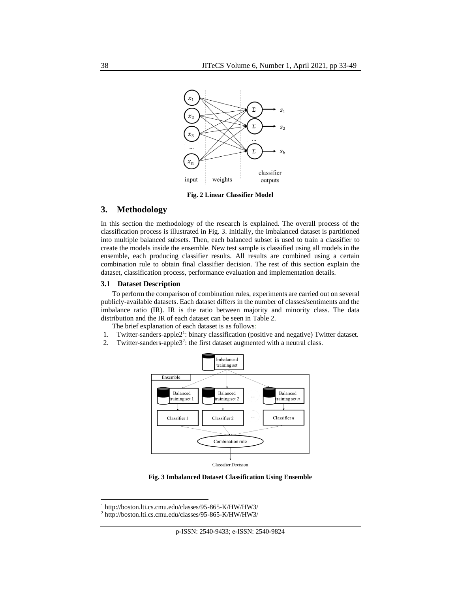

**Fig. 2 Linear Classifier Model**

# <span id="page-5-0"></span>**3. Methodology**

In this section the methodology of the research is explained. The overall process of the classification process is illustrated in [Fig. 3.](#page-5-1) Initially, the imbalanced dataset is partitioned into multiple balanced subsets. Then, each balanced subset is used to train a classifier to create the models inside the ensemble. New test sample is classified using all models in the ensemble, each producing classifier results. All results are combined using a certain combination rule to obtain final classifier decision. The rest of this section explain the dataset, classification process, performance evaluation and implementation details.

#### **3.1 Dataset Description**

To perform the comparison of combination rules, experiments are carried out on several publicly-available datasets. Each dataset differs in the number of classes/sentiments and the imbalance ratio (IR). IR is the ratio between majority and minority class. The data distribution and the IR of each dataset can be seen in [Table 2.](#page-6-0)

The brief explanation of each dataset is as follows:

- 1. Twitter-sanders-apple2<sup>1</sup>: binary classification (positive and negative) Twitter dataset.
- 2. Twitter-sanders-apple3<sup>2</sup>: the first dataset augmented with a neutral class.



**Classifier Decision** 

**Fig. 3 Imbalanced Dataset Classification Using Ensemble**

<span id="page-5-1"></span><sup>1</sup> http://boston.lti.cs.cmu.edu/classes/95-865-K/HW/HW3/

<sup>2</sup> http://boston.lti.cs.cmu.edu/classes/95-865-K/HW/HW3/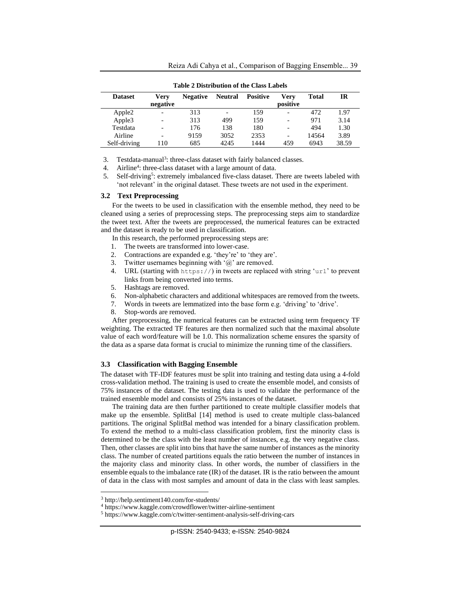<span id="page-6-0"></span>

|                | таріс з різнірацон от ніс слаз парсіз |                 |                |                 |                          |       |       |
|----------------|---------------------------------------|-----------------|----------------|-----------------|--------------------------|-------|-------|
| <b>Dataset</b> | <b>Verv</b><br>negative               | <b>Negative</b> | <b>Neutral</b> | <b>Positive</b> | Verv<br>positive         | Total | IR    |
| Apple2         |                                       | 313             | ۰              | 159             |                          | 472   | 1.97  |
| Apple3         |                                       | 313             | 499            | 159             | -                        | 971   | 3.14  |
| Testdata       |                                       | 176             | 138            | 180             |                          | 494   | 1.30  |
| Airline        |                                       | 9159            | 3052           | 2353            | $\overline{\phantom{0}}$ | 14564 | 3.89  |
| Self-driving   | 110                                   | 685             | 4245           | 1444            | 459                      | 6943  | 38.59 |

**Table 2 Distribution of the Class Labels**

3. Testdata-manual<sup>3</sup>: three-class dataset with fairly balanced classes.

4. Airline<sup>4</sup>: three-class dataset with a large amount of data.

5. Self-driving<sup>5</sup>: extremely imbalanced five-class dataset. There are tweets labeled with 'not relevant' in the original dataset. These tweets are not used in the experiment.

# **3.2 Text Preprocessing**

For the tweets to be used in classification with the ensemble method, they need to be cleaned using a series of preprocessing steps. The preprocessing steps aim to standardize the tweet text. After the tweets are preprocessed, the numerical features can be extracted and the dataset is ready to be used in classification.

In this research, the performed preprocessing steps are:

- 1. The tweets are transformed into lower-case.
- 2. Contractions are expanded e.g. 'they're' to 'they are'.
- 3. Twitter usernames beginning with  $\hat{a}$  are removed.
- 4. URL (starting with https://) in tweets are replaced with string 'url' to prevent links from being converted into terms.
- 5. Hashtags are removed.
- 6. Non-alphabetic characters and additional whitespaces are removed from the tweets.
- 7. Words in tweets are lemmatized into the base form e.g. 'driving' to 'drive'.
- 8. Stop-words are removed.

After preprocessing, the numerical features can be extracted using term frequency TF weighting. The extracted TF features are then normalized such that the maximal absolute value of each word/feature will be 1.0. This normalization scheme ensures the sparsity of the data as a sparse data format is crucial to minimize the running time of the classifiers.

#### **3.3 Classification with Bagging Ensemble**

The dataset with TF-IDF features must be split into training and testing data using a 4-fold cross-validation method. The training is used to create the ensemble model, and consists of 75% instances of the dataset. The testing data is used to validate the performance of the trained ensemble model and consists of 25% instances of the dataset.

The training data are then further partitioned to create multiple classifier models that make up the ensemble. SplitBal [14] method is used to create multiple class-balanced partitions. The original SplitBal method was intended for a binary classification problem. To extend the method to a multi-class classification problem, first the minority class is determined to be the class with the least number of instances, e.g. the very negative class. Then, other classes are split into bins that have the same number of instances as the minority class. The number of created partitions equals the ratio between the number of instances in the majority class and minority class. In other words, the number of classifiers in the ensemble equals to the imbalance rate (IR) of the dataset. IR is the ratio between the amount of data in the class with most samples and amount of data in the class with least samples.

<sup>3</sup> http://help.sentiment140.com/for-students/

<sup>4</sup> https://www.kaggle.com/crowdflower/twitter-airline-sentiment

<sup>5</sup> https://www.kaggle.com/c/twitter-sentiment-analysis-self-driving-cars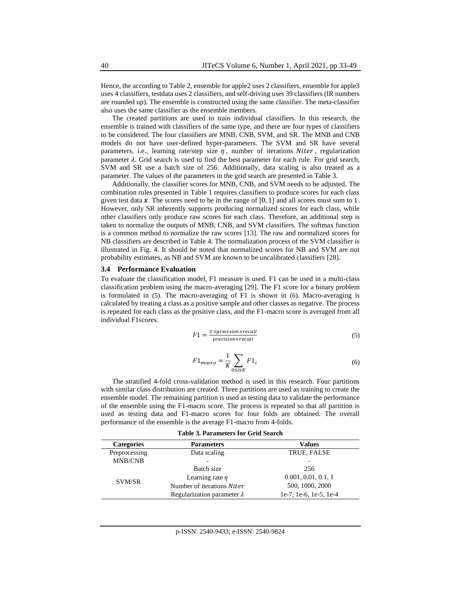Hence, the according to [Table 2,](#page-6-0) ensemble for apple2 uses 2 classifiers, ensemble for apple3 uses 4 classifiers, testdata uses 2 classifiers, and self-driving uses 39 classifiers (IR numbers are rounded up). The ensemble is constructed using the same classifier. The meta-classifier also uses the same classifier as the ensemble members.

The created partitions are used to train individual classifiers. In this research, the ensemble is trained with classifiers of the same type, and there are four types of classifiers to be considered. The four classifiers are MNB, CNB, SVM, and SR. The MNB and CNB models do not have user-defined hyper-parameters. The SVM and SR have several parameters, i.e., learning rate/step size  $\eta$ , number of iterations Niter, regularization parameter  $\lambda$ . Grid search is used to find the best parameter for each rule. For grid search, SVM and SR use a batch size of 256. Additionally, data scaling is also treated as a parameter. The values of the parameters in the grid search are presented i[n Table 3.](#page-7-0)

Additionally, the classifier scores for MNB, CNB, and SVM needs to be adjusted. The combination rules presented in [Table 1](#page-3-0) requires classifiers to produce scores for each class given test data  $x$ . The scores need to be in the range of  $[0, 1]$  and all scores must sum to 1. However, only SR inherently supports producing normalized scores for each class, while other classifiers only produce raw scores for each class. Therefore, an additional step is taken to normalize the outputs of MNB, CNB, and SVM classifiers. The softmax function is a common method to normalize the raw scores [13]. The raw and normalized scores for NB classifiers are described in [Table 4.](#page-8-0) The normalization process of the SVM classifier is illustrated in [Fig. 4.](#page-8-1) It should be noted that normalized scores for NB and SVM are not probability estimates, as NB and SVM are known to be uncalibrated classifiers [28].

#### **3.4 Performance Evaluation**

To evaluate the classification model, F1 measure is used. F1 can be used in a multi-class classification problem using the macro-averaging [29]. The F1 score for a binary problem is formulated in [\(5\)](#page-7-1). The macro-averaging of F1 is shown in [\(6\)](#page-7-2). Macro-averaging is calculated by treating a class as a positive sample and other classes as negative. The process is repeated for each class as the positive class, and the F1-macro score is averaged from all individual F1scores.

$$
F1 = \frac{2 \times precision \times recall}{precision + recall}
$$
 (5)

<span id="page-7-2"></span><span id="page-7-1"></span>
$$
F1_{macro} = \frac{1}{K} \sum_{0 \le i \le K} F1_i
$$
 (6)

The stratified 4-fold cross-validation method is used in this research. Four partitions with similar class distribution are created. Three partitions are used as training to create the ensemble model. The remaining partition is used as testing data to validate the performance of the ensemble using the F1-macro score. The process is repeated so that all partition is used as testing data and F1-macro scores for four folds are obtained. The overall performance of the ensemble is the average F1-macro from 4-folds.

**Table 3. Parameters for Grid Search**

<span id="page-7-0"></span>

| <b>Categories</b> | <b>Parameters</b>                  | <b>Values</b>            |
|-------------------|------------------------------------|--------------------------|
| Preprocessing     | Data scaling                       | TRUE, FALSE              |
| <b>MNB/CNB</b>    |                                    | $\overline{\phantom{a}}$ |
|                   | Batch size                         | 256                      |
| SVM/SR            | Learning rate $\eta$               | 0.001, 0.01, 0.1, 1      |
|                   | Number of iterations Niter         | 500, 1000, 2000          |
|                   | Regularization parameter $\lambda$ | le-7, 1e-6, 1e-5, 1e-4   |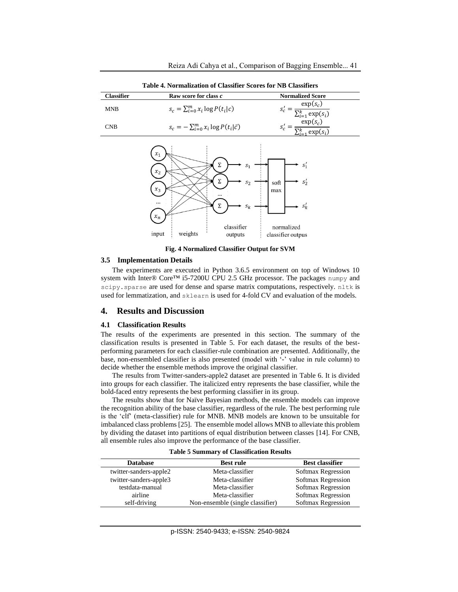<span id="page-8-0"></span>

|            | Table 4. INTHRAILEAU DE CLASSIFIEL SCOTES IOL IND CLASSIFIELS |                                            |
|------------|---------------------------------------------------------------|--------------------------------------------|
| Classifier | Raw score for class c                                         | <b>Normalized Score</b>                    |
| <b>MNB</b> | $s_c = \sum_{i=0}^{m} x_i \log P(t_i c)$                      | $\frac{\exp(s_c)}{\sum_{i=1}^k \exp(s_i)}$ |
| <b>CNB</b> | $s_c = -\sum_{i=0}^{m} x_i \log P(t_i \bar{c})$               | $exp(s_c)$<br>$_{-1}$ exp( $s_i$ )         |
|            | $\chi_1$                                                      |                                            |

**Table 4. Normalization of Classifier Scores for NB Classifiers**



**Fig. 4 Normalized Classifier Output for SVM**

#### <span id="page-8-1"></span>**3.5 Implementation Details**

The experiments are executed in Python 3.6.5 environment on top of Windows 10 system with Inter® Core<sup>™</sup> i5-7200U CPU 2.5 GHz processor. The packages numpy and scipy.sparse are used for dense and sparse matrix computations, respectively. nltk is used for lemmatization, and sklearn is used for 4-fold CV and evaluation of the models.

## **4. Results and Discussion**

#### **4.1 Classification Results**

The results of the experiments are presented in this section. The summary of the classification results is presented in [Table 5.](#page-8-2) For each dataset, the results of the bestperforming parameters for each classifier-rule combination are presented. Additionally, the base, non-ensembled classifier is also presented (model with '-' value in rule column) to decide whether the ensemble methods improve the original classifier.

The results from Twitter-sanders-apple2 dataset are presented in [Table 6.](#page-9-0) It is divided into groups for each classifier. The italicized entry represents the base classifier, while the bold-faced entry represents the best performing classifier in its group.

The results show that for Naïve Bayesian methods, the ensemble models can improve the recognition ability of the base classifier, regardless of the rule. The best performing rule is the 'clf' (meta-classifier) rule for MNB. MNB models are known to be unsuitable for imbalanced class problems [25]. The ensemble model allows MNB to alleviate this problem by dividing the dataset into partitions of equal distribution between classes [14]. For CNB, all ensemble rules also improve the performance of the base classifier.

<span id="page-8-2"></span>

|                        | TWOTE C DEMINISH TO CHRODITION CON TECHNIC |                        |
|------------------------|--------------------------------------------|------------------------|
| <b>Database</b>        | <b>Best rule</b>                           | <b>Best classifier</b> |
| twitter-sanders-apple2 | Meta-classifier                            | Softmax Regression     |
| twitter-sanders-apple3 | Meta-classifier                            | Softmax Regression     |
| testdata-manual        | Meta-classifier                            | Softmax Regression     |
| airline                | Meta-classifier                            | Softmax Regression     |
| self-driving           | Non-ensemble (single classifier)           | Softmax Regression     |

**Table 5 Summary of Classification Results**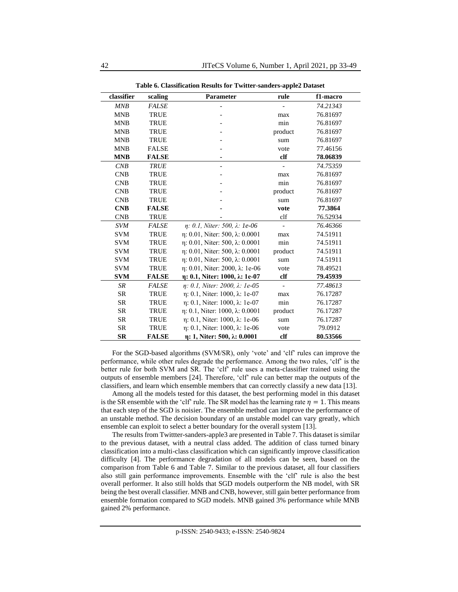**Table 6. Classification Results for Twitter-sanders-apple2 Dataset**

<span id="page-9-0"></span>

| classifier | scaling      | <b>Parameter</b>                              | rule          | f1-macro |
|------------|--------------|-----------------------------------------------|---------------|----------|
| MNB        | <b>FALSE</b> |                                               |               | 74.21343 |
| <b>MNB</b> | <b>TRUE</b>  |                                               | max           | 76.81697 |
| <b>MNB</b> | <b>TRUE</b>  |                                               | min           | 76.81697 |
| <b>MNB</b> | <b>TRUE</b>  |                                               | product       | 76.81697 |
| <b>MNB</b> | <b>TRUE</b>  |                                               | sum           | 76.81697 |
| <b>MNB</b> | <b>FALSE</b> |                                               | vote          | 77.46156 |
| <b>MNB</b> | <b>FALSE</b> |                                               | clf           | 78.06839 |
| CNB        | <b>TRUE</b>  |                                               |               | 74.75359 |
| <b>CNB</b> | <b>TRUE</b>  |                                               | max           | 76.81697 |
| <b>CNB</b> | <b>TRUE</b>  |                                               | min           | 76.81697 |
| <b>CNB</b> | <b>TRUE</b>  |                                               | product       | 76.81697 |
| <b>CNB</b> | <b>TRUE</b>  |                                               | sum           | 76.81697 |
| <b>CNB</b> | <b>FALSE</b> |                                               | vote          | 77.3864  |
| <b>CNB</b> | <b>TRUE</b>  |                                               | clf           | 76.52934 |
| <b>SVM</b> | <b>FALSE</b> | η: 0.1, Niter: 500, λ: 1e-06                  |               | 76.46366 |
| <b>SVM</b> | <b>TRUE</b>  | $\eta$ : 0.01, Niter: 500, $\lambda$ : 0.0001 | max           | 74.51911 |
| <b>SVM</b> | <b>TRUE</b>  | $\eta$ : 0.01, Niter: 500, $\lambda$ : 0.0001 | min           | 74.51911 |
| <b>SVM</b> | <b>TRUE</b>  | $\eta$ : 0.01, Niter: 500, $\lambda$ : 0.0001 | product       | 74.51911 |
| <b>SVM</b> | <b>TRUE</b>  | $\eta$ : 0.01, Niter: 500, $\lambda$ : 0.0001 | sum           | 74.51911 |
| <b>SVM</b> | <b>TRUE</b>  | η: 0.01, Niter: 2000, λ: 1e-06                | vote          | 78.49521 |
| <b>SVM</b> | <b>FALSE</b> | η: 0.1, Niter: 1000, λ: 1e-07                 | $_{\rm clf}$  | 79.45939 |
| <b>SR</b>  | <b>FALSE</b> | $\eta$ : 0.1, Niter: 2000, $\lambda$ : 1e-05  | $\frac{1}{2}$ | 77.48613 |
| <b>SR</b>  | <b>TRUE</b>  | η: 0.1, Niter: 1000, λ: 1e-07                 | max           | 76.17287 |
| <b>SR</b>  | <b>TRUE</b>  | $\eta$ : 0.1, Niter: 1000, $\lambda$ : 1e-07  | min           | 76.17287 |
| <b>SR</b>  | <b>TRUE</b>  | $\eta$ : 0.1, Niter: 1000, $\lambda$ : 0.0001 | product       | 76.17287 |
| <b>SR</b>  | <b>TRUE</b>  | η: 0.1, Niter: 1000, λ: 1e-06                 | sum           | 76.17287 |
| <b>SR</b>  | <b>TRUE</b>  | η: 0.1, Niter: 1000, λ: 1e-06                 | vote          | 79.0912  |
| <b>SR</b>  | <b>FALSE</b> | $\eta$ : 1, Niter: 500, $\lambda$ : 0.0001    | $_{\rm clf}$  | 80.53566 |

For the SGD-based algorithms (SVM/SR), only 'vote' and 'clf' rules can improve the performance, while other rules degrade the performance. Among the two rules, 'clf' is the better rule for both SVM and SR. The 'clf' rule uses a meta-classifier trained using the outputs of ensemble members [24]. Therefore, 'clf' rule can better map the outputs of the classifiers, and learn which ensemble members that can correctly classify a new data [13].

Among all the models tested for this dataset, the best performing model in this dataset is the SR ensemble with the 'clf' rule. The SR model has the learning rate  $\eta = 1$ . This means that each step of the SGD is noisier. The ensemble method can improve the performance of an unstable method. The decision boundary of an unstable model can vary greatly, which ensemble can exploit to select a better boundary for the overall system [13].

The results from Twittter-sanders-apple3 are presented in [Table 7.](#page-10-0) This dataset is similar to the previous dataset, with a neutral class added. The addition of class turned binary classification into a multi-class classification which can significantly improve classification difficulty [4]. The performance degradation of all models can be seen, based on the comparison from [Table 6](#page-9-0) and [Table 7.](#page-10-0) Similar to the previous dataset, all four classifiers also still gain performance improvements. Ensemble with the 'clf' rule is also the best overall performer. It also still holds that SGD models outperform the NB model, with SR being the best overall classifier. MNB and CNB, however, still gain better performance from ensemble formation compared to SGD models. MNB gained 3% performance while MNB gained 2% performance.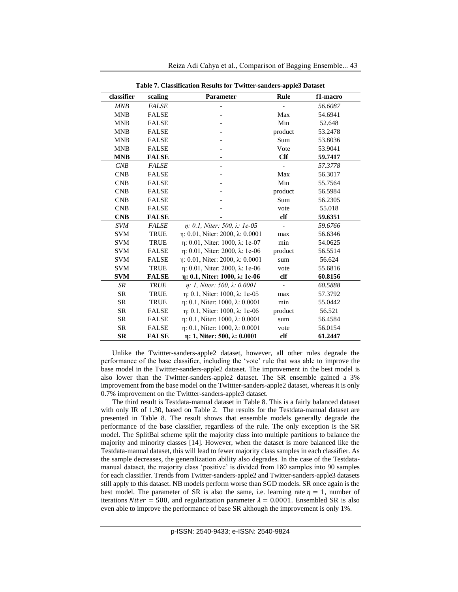<span id="page-10-0"></span>

| Table 7. Classification Results for Twitter-sanders-apple3 Dataset |              |                                                |               |          |  |
|--------------------------------------------------------------------|--------------|------------------------------------------------|---------------|----------|--|
| classifier                                                         | scaling      | Parameter                                      | Rule          | f1-macro |  |
| MNB                                                                | <b>FALSE</b> |                                                |               | 56.6087  |  |
| <b>MNB</b>                                                         | <b>FALSE</b> |                                                | Max           | 54.6941  |  |
| <b>MNB</b>                                                         | <b>FALSE</b> |                                                | Min           | 52.648   |  |
| <b>MNB</b>                                                         | <b>FALSE</b> |                                                | product       | 53.2478  |  |
| <b>MNB</b>                                                         | <b>FALSE</b> |                                                | Sum           | 53.8036  |  |
| <b>MNB</b>                                                         | <b>FALSE</b> |                                                | Vote          | 53.9041  |  |
| <b>MNB</b>                                                         | <b>FALSE</b> |                                                | <b>Clf</b>    | 59.7417  |  |
| CNB                                                                | <b>FALSE</b> |                                                |               | 57.3778  |  |
| <b>CNB</b>                                                         | <b>FALSE</b> |                                                | Max           | 56.3017  |  |
| <b>CNB</b>                                                         | <b>FALSE</b> |                                                | Min           | 55.7564  |  |
| CNB                                                                | <b>FALSE</b> |                                                | product       | 56.5984  |  |
| <b>CNB</b>                                                         | <b>FALSE</b> |                                                | Sum           | 56.2305  |  |
| <b>CNB</b>                                                         | <b>FALSE</b> |                                                | vote          | 55.018   |  |
| <b>CNB</b>                                                         | <b>FALSE</b> |                                                | clf           | 59.6351  |  |
| <b>SVM</b>                                                         | <b>FALSE</b> | η: 0.1, Niter: 500, λ: 1e-05                   | $\frac{1}{2}$ | 59.6766  |  |
| <b>SVM</b>                                                         | TRUE         | $\eta$ : 0.01, Niter: 2000, $\lambda$ : 0.0001 | max           | 56.6346  |  |
| <b>SVM</b>                                                         | <b>TRUE</b>  | η: 0.01, Niter: 1000, λ: 1e-07                 | min           | 54.0625  |  |
| <b>SVM</b>                                                         | <b>FALSE</b> | η: 0.01, Niter: 2000, λ: 1e-06                 | product       | 56.5514  |  |
| <b>SVM</b>                                                         | <b>FALSE</b> | η: 0.01, Niter: 2000, λ: 0.0001                | sum           | 56.624   |  |
| <b>SVM</b>                                                         | <b>TRUE</b>  | η: 0.01, Niter: 2000, λ: 1e-06                 | vote          | 55.6816  |  |
| <b>SVM</b>                                                         | <b>FALSE</b> | η: 0.1, Niter: 1000, λ: 1e-06                  | clf           | 60.8156  |  |
| SR                                                                 | <b>TRUE</b>  | $\eta$ : 1, Niter: 500, $\lambda$ : 0.0001     |               | 60.5888  |  |
| <b>SR</b>                                                          | <b>TRUE</b>  | η: 0.1, Niter: 1000, λ: 1e-05                  | max           | 57.3792  |  |
| <b>SR</b>                                                          | <b>TRUE</b>  | $\eta$ : 0.1, Niter: 1000, $\lambda$ : 0.0001  | min           | 55.0442  |  |
| <b>SR</b>                                                          | <b>FALSE</b> | η: 0.1, Niter: 1000, λ: 1e-06                  | product       | 56.521   |  |
| <b>SR</b>                                                          | <b>FALSE</b> | $\eta$ : 0.1, Niter: 1000, $\lambda$ : 0.0001  | sum           | 56.4584  |  |
| <b>SR</b>                                                          | <b>FALSE</b> | $\eta$ : 0.1, Niter: 1000, $\lambda$ : 0.0001  | vote          | 56.0154  |  |
| <b>SR</b>                                                          | <b>FALSE</b> | $\eta$ : 1, Niter: 500, $\lambda$ : 0.0001     | $_{\rm clf}$  | 61.2447  |  |

Reiza Adi Cahya et al., Comparison of Bagging Ensemble... 43

**Table 7. Classification Results for Twitter-sanders-apple3 Dataset**

Unlike the Twittter-sanders-apple2 dataset, however, all other rules degrade the performance of the base classifier, including the 'vote' rule that was able to improve the base model in the Twittter-sanders-apple2 dataset. The improvement in the best model is also lower than the Twittter-sanders-apple2 dataset. The SR ensemble gained a 3% improvement from the base model on the Twittter-sanders-apple2 dataset, whereas it is only 0.7% improvement on the Twittter-sanders-apple3 dataset.

The third result is Testdata-manual dataset i[n Table 8.](#page-11-0) This is a fairly balanced dataset with only IR of 1.30, based on [Table 2.](#page-6-0) The results for the Testdata-manual dataset are presented in [Table 8.](#page-11-0) The result shows that ensemble models generally degrade the performance of the base classifier, regardless of the rule. The only exception is the SR model. The SplitBal scheme split the majority class into multiple partitions to balance the majority and minority classes [14]. However, when the dataset is more balanced like the Testdata-manual dataset, this will lead to fewer majority class samples in each classifier. As the sample decreases, the generalization ability also degrades. In the case of the Testdatamanual dataset, the majority class 'positive' is divided from 180 samples into 90 samples for each classifier. Trends from Twitter-sanders-apple2 and Twitter-sanders-apple3 datasets still apply to this dataset. NB models perform worse than SGD models. SR once again is the best model. The parameter of SR is also the same, i.e. learning rate  $\eta = 1$ , number of iterations *Niter* = 500, and regularization parameter  $\lambda = 0.0001$ . Ensembled SR is also even able to improve the performance of base SR although the improvement is only 1%.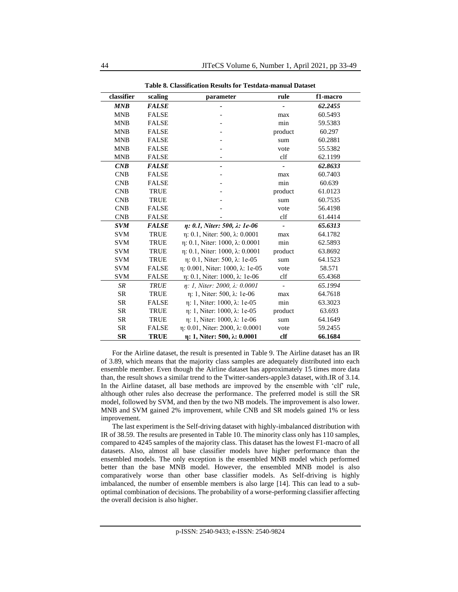<span id="page-11-0"></span>**classifier scaling parameter rule f1-macro** *MNB FALSE - - 62.2455* MNB FALSE - max 60.5493 MNB FALSE - min 59.5383 MNB FALSE - product 60.297 MNB FALSE - sum 60.2881 MNB FALSE - vote 55.5382 MNB FALSE - clf 62.1199 *CNB FALSE - - 62.8633* CNB FALSE - max 60.7403 CNB FALSE - min 60.639 CNB TRUE - product 61.0123 CNB TRUE - sum 60.7535 CNB FALSE - vote 56.4198 CNB FALSE - clf 61.4414 *SVM FALSE η: 0.1, Niter: 500, λ: 1e-06 - 65.6313* SVM TRUE η: 0.1, Niter: 500, λ: 0.0001 max 64.1782 SVM TRUE η: 0.1, Niter: 1000, λ: 0.0001 min 62.5893 SVM TRUE η: 0.1, Niter: 1000, λ: 0.0001 product 63.8692 SVM TRUE η: 0.1, Niter: 500, λ: 1e-05 sum 64.1523 SVM FALSE η: 0.001, Niter: 1000, λ: 1e-05 vote 58.571 SVM FALSE η: 0.1, Niter: 1000, λ: 1e-06 clf 65.4368 *SR TRUE η: 1, Niter: 2000, λ: 0.0001 - 65.1994* SR TRUE η: 1, Niter: 500, λ: 1e-06 max 64.7618 SR FALSE η: 1, Niter: 1000, λ: 1e-05 min 63.3023 SR TRUE η: 1, Niter: 1000, λ: 1e-05 product 63.693 SR TRUE  $\eta$ : 1, Niter: 1000,  $\lambda$ : 1e-06 sum 64.1649 SR FALSE η: 0.01, Niter: 2000, λ: 0.0001 vote 59.2455 **SR TRUE η: 1, Niter: 500, λ: 0.0001 clf 66.1684**

**Table 8. Classification Results for Testdata-manual Dataset**

For the Airline dataset, the result is presented i[n Table 9.](#page-12-0) The Airline dataset has an IR of 3.89, which means that the majority class samples are adequately distributed into each ensemble member. Even though the Airline dataset has approximately 15 times more data than, the result shows a similar trend to the Twitter-sanders-apple3 dataset, with.IR of 3.14. In the Airline dataset, all base methods are improved by the ensemble with 'clf' rule, although other rules also decrease the performance. The preferred model is still the SR model, followed by SVM, and then by the two NB models. The improvement is also lower. MNB and SVM gained 2% improvement, while CNB and SR models gained 1% or less improvement.

The last experiment is the Self-driving dataset with highly-imbalanced distribution with IR of 38.59. The results are presented in [Table 10.](#page-13-0) The minority class only has 110 samples, compared to 4245 samples of the majority class. This dataset has the lowest F1-macro of all datasets. Also, almost all base classifier models have higher performance than the ensembled models. The only exception is the ensembled MNB model which performed better than the base MNB model. However, the ensembled MNB model is also comparatively worse than other base classifier models. As Self-driving is highly imbalanced, the number of ensemble members is also large [14]. This can lead to a suboptimal combination of decisions. The probability of a worse-performing classifier affecting the overall decision is also higher.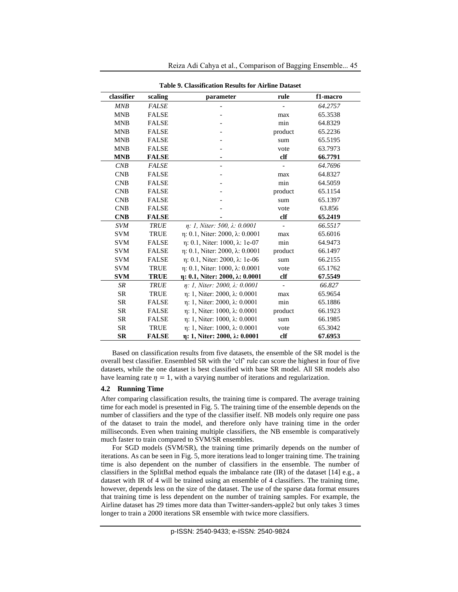<span id="page-12-0"></span>

|            | Table 9. Classification Results for Airline Dataset |                                               |              |          |  |
|------------|-----------------------------------------------------|-----------------------------------------------|--------------|----------|--|
| classifier | scaling                                             | parameter                                     | rule         | f1-macro |  |
| MNB        | <b>FALSE</b>                                        |                                               |              | 64.2757  |  |
| <b>MNB</b> | <b>FALSE</b>                                        |                                               | max          | 65.3538  |  |
| <b>MNB</b> | <b>FALSE</b>                                        |                                               | min          | 64.8329  |  |
| <b>MNB</b> | <b>FALSE</b>                                        |                                               | product      | 65.2236  |  |
| <b>MNB</b> | <b>FALSE</b>                                        |                                               | sum          | 65.5195  |  |
| <b>MNB</b> | <b>FALSE</b>                                        |                                               | vote         | 63.7973  |  |
| <b>MNB</b> | <b>FALSE</b>                                        | ٠                                             | clf          | 66.7791  |  |
| CNB        | <b>FALSE</b>                                        |                                               |              | 64.7696  |  |
| <b>CNB</b> | <b>FALSE</b>                                        |                                               | max          | 64.8327  |  |
| <b>CNB</b> | <b>FALSE</b>                                        |                                               | min          | 64.5059  |  |
| <b>CNB</b> | <b>FALSE</b>                                        |                                               | product      | 65.1154  |  |
| <b>CNB</b> | <b>FALSE</b>                                        |                                               | sum          | 65.1397  |  |
| <b>CNB</b> | <b>FALSE</b>                                        |                                               | vote         | 63.856   |  |
| <b>CNB</b> | <b>FALSE</b>                                        |                                               | $_{\rm clf}$ | 65.2419  |  |
| <b>SVM</b> | <b>TRUE</b>                                         | $\eta$ : 1, Niter: 500, $\lambda$ : 0.0001    |              | 66.5517  |  |
| <b>SVM</b> | <b>TRUE</b>                                         | η: 0.1, Niter: 2000, λ: 0.0001                | max          | 65.6016  |  |
| <b>SVM</b> | <b>FALSE</b>                                        | $\eta$ : 0.1, Niter: 1000, $\lambda$ : 1e-07  | min          | 64.9473  |  |
| <b>SVM</b> | <b>FALSE</b>                                        | η: 0.1, Niter: 2000, λ: 0.0001                | product      | 66.1497  |  |
| <b>SVM</b> | <b>FALSE</b>                                        | η: 0.1, Niter: 2000, λ: 1e-06                 | sum          | 66.2155  |  |
| <b>SVM</b> | <b>TRUE</b>                                         | η: 0.1, Niter: 1000, λ: 0.0001                | vote         | 65.1762  |  |
| <b>SVM</b> | <b>TRUE</b>                                         | $\eta$ : 0.1, Niter: 2000, $\lambda$ : 0.0001 | clf          | 67.5549  |  |
| <b>SR</b>  | <b>TRUE</b>                                         | $\eta$ : 1, Niter: 2000, $\lambda$ : 0.0001   |              | 66.827   |  |
| <b>SR</b>  | <b>TRUE</b>                                         | η: 1, Niter: 2000, λ: 0.0001                  | max          | 65.9654  |  |
| <b>SR</b>  | <b>FALSE</b>                                        | η: 1, Niter: 2000, λ: 0.0001                  | min          | 65.1886  |  |
| <b>SR</b>  | <b>FALSE</b>                                        | η: 1, Niter: 1000, λ: 0.0001                  | product      | 66.1923  |  |
| <b>SR</b>  | <b>FALSE</b>                                        | η: 1, Niter: 1000, λ: 0.0001                  | sum          | 66.1985  |  |
| <b>SR</b>  | <b>TRUE</b>                                         | η: 1, Niter: 1000, λ: 0.0001                  | vote         | 65.3042  |  |
| <b>SR</b>  | <b>FALSE</b>                                        | η: 1, Niter: 2000, λ: 0.0001                  | $_{\rm clf}$ | 67.6953  |  |

Reiza Adi Cahya et al., Comparison of Bagging Ensemble... 45

**Table 9. Classification Results for Airline Dataset**

Based on classification results from five datasets, the ensemble of the SR model is the overall best classifier. Ensembled SR with the 'clf' rule can score the highest in four of five datasets, while the one dataset is best classified with base SR model. All SR models also have learning rate  $\eta = 1$ , with a varying number of iterations and regularization.

#### **4.2 Running Time**

After comparing classification results, the training time is compared. The average training time for each model is presented in [Fig. 5.](#page-14-0) The training time of the ensemble depends on the number of classifiers and the type of the classifier itself. NB models only require one pass of the dataset to train the model, and therefore only have training time in the order milliseconds. Even when training multiple classifiers, the NB ensemble is comparatively much faster to train compared to SVM/SR ensembles.

For SGD models (SVM/SR), the training time primarily depends on the number of iterations. As can be seen i[n Fig. 5,](#page-14-0) more iterations lead to longer training time. The training time is also dependent on the number of classifiers in the ensemble. The number of classifiers in the SplitBal method equals the imbalance rate (IR) of the dataset [14] e.g., a dataset with IR of 4 will be trained using an ensemble of 4 classifiers. The training time, however, depends less on the size of the dataset. The use of the sparse data format ensures that training time is less dependent on the number of training samples. For example, the Airline dataset has 29 times more data than Twitter-sanders-apple2 but only takes 3 times longer to train a 2000 iterations SR ensemble with twice more classifiers.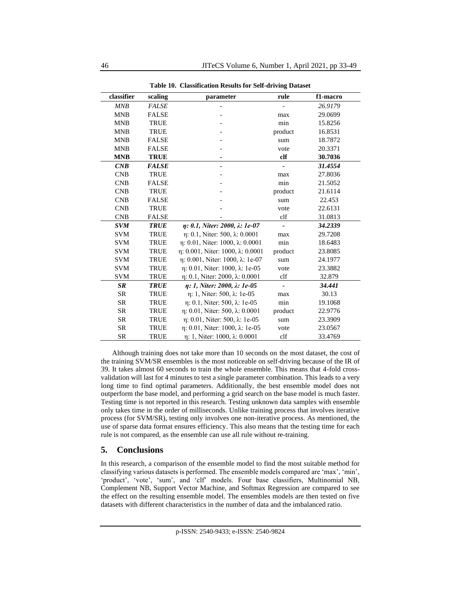<span id="page-13-0"></span>**classifier scaling parameter rule f1-macro** *MNB FALSE - - 26.9179* MNB FALSE - max 29.0699 MNB TRUE - min 15.8256 MNB TRUE - product 16.8531 MNB FALSE - sum 18.7872 MNB FALSE - vote 20.3371 **MNB TRUE - clf 30.7036** *CNB FALSE - - 31.4554* CNB TRUE - max 27.8036 CNB FALSE - min 21.5052 CNB TRUE - product 21.6114 CNB FALSE - sum 22.453 CNB TRUE - vote 22.6131 CNB FALSE - clf 31.0813 *SVM TRUE η: 0.1, Niter: 2000, λ: 1e-07 - 34.2339* SVM TRUE η: 0.1, Niter: 500, λ: 0.0001 max 29.7208 SVM TRUE η: 0.01, Niter: 1000, λ: 0.0001 min 18.6483 SVM TRUE η: 0.001, Niter: 1000, λ: 0.0001 product 23.8085 SVM TRUE η: 0.001, Niter: 1000, λ: 1e-07 sum 24.1977 SVM TRUE η: 0.01, Niter: 1000, λ: 1e-05 vote 23.3882 SVM TRUE η: 0.1, Niter: 2000, λ: 0.0001 clf 32.879 *SR TRUE η: 1, Niter: 2000, λ: 1e-05 - 34.441* SR TRUE η: 1, Niter: 500, λ: 1e-05 max 30.13 SR TRUE η: 0.1, Niter: 500, λ: 1e-05 min 19.1068 SR TRUE η: 0.01, Niter: 500, λ: 0.0001 product 22.9776 SR TRUE η: 0.01, Niter: 500, λ: 1e-05 sum 23.3909 SR TRUE η: 0.01, Niter: 1000, λ: 1e-05 vote 23.0567 SR TRUE η: 1, Niter: 1000, λ: 0.0001 clf 33.4769

**Table 10. Classification Results for Self-driving Dataset**

Although training does not take more than 10 seconds on the most dataset, the cost of the training SVM/SR ensembles is the most noticeable on self-driving because of the IR of 39. It takes almost 60 seconds to train the whole ensemble. This means that 4-fold crossvalidation will last for 4 minutes to test a single parameter combination. This leads to a very long time to find optimal parameters. Additionally, the best ensemble model does not outperform the base model, and performing a grid search on the base model is much faster. Testing time is not reported in this research. Testing unknown data samples with ensemble only takes time in the order of milliseconds. Unlike training process that involves iterative process (for SVM/SR), testing only involves one non-iterative process. As mentioned, the use of sparse data format ensures efficiency. This also means that the testing time for each rule is not compared, as the ensemble can use all rule without re-training.

# **5. Conclusions**

In this research, a comparison of the ensemble model to find the most suitable method for classifying various datasets is performed. The ensemble models compared are 'max', 'min', 'product', 'vote', 'sum', and 'clf' models. Four base classifiers, Multinomial NB, Complement NB, Support Vector Machine, and Softmax Regression are compared to see the effect on the resulting ensemble model. The ensembles models are then tested on five datasets with different characteristics in the number of data and the imbalanced ratio.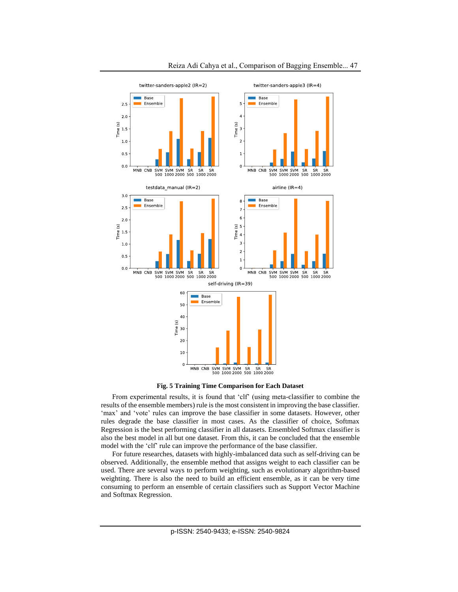

**Fig. 5 Training Time Comparison for Each Dataset**

<span id="page-14-0"></span>From experimental results, it is found that 'clf' (using meta-classifier to combine the results of the ensemble members) rule is the most consistent in improving the base classifier. 'max' and 'vote' rules can improve the base classifier in some datasets. However, other rules degrade the base classifier in most cases. As the classifier of choice, Softmax Regression is the best performing classifier in all datasets. Ensembled Softmax classifier is also the best model in all but one dataset. From this, it can be concluded that the ensemble model with the 'clf' rule can improve the performance of the base classifier.

For future researches, datasets with highly-imbalanced data such as self-driving can be observed. Additionally, the ensemble method that assigns weight to each classifier can be used. There are several ways to perform weighting, such as evolutionary algorithm-based weighting. There is also the need to build an efficient ensemble, as it can be very time consuming to perform an ensemble of certain classifiers such as Support Vector Machine and Softmax Regression.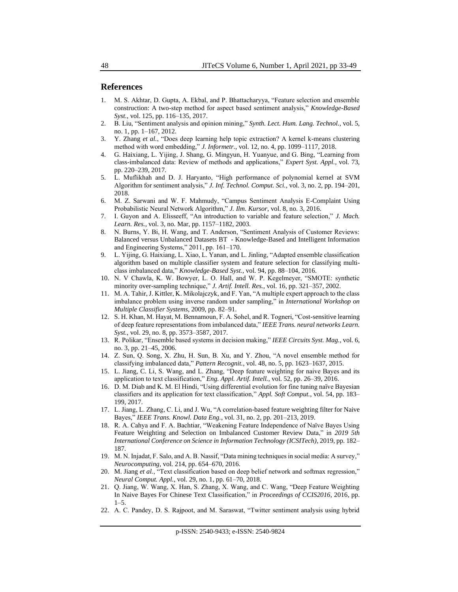# **References**

- 1. M. S. Akhtar, D. Gupta, A. Ekbal, and P. Bhattacharyya, "Feature selection and ensemble construction: A two-step method for aspect based sentiment analysis," *Knowledge-Based Syst.*, vol. 125, pp. 116–135, 2017.
- 2. B. Liu, "Sentiment analysis and opinion mining," *Synth. Lect. Hum. Lang. Technol.*, vol. 5, no. 1, pp. 1–167, 2012.
- 3. Y. Zhang *et al.*, "Does deep learning help topic extraction? A kernel k-means clustering method with word embedding," *J. Informetr.*, vol. 12, no. 4, pp. 1099–1117, 2018.
- 4. G. Haixiang, L. Yijing, J. Shang, G. Mingyun, H. Yuanyue, and G. Bing, "Learning from class-imbalanced data: Review of methods and applications," *Expert Syst. Appl.*, vol. 73, pp. 220–239, 2017.
- 5. L. Muflikhah and D. J. Haryanto, "High performance of polynomial kernel at SVM Algorithm for sentiment analysis," *J. Inf. Technol. Comput. Sci.*, vol. 3, no. 2, pp. 194–201, 2018.
- 6. M. Z. Sarwani and W. F. Mahmudy, "Campus Sentiment Analysis E-Complaint Using Probabilistic Neural Network Algorithm," *J. Ilm. Kursor*, vol. 8, no. 3, 2016.
- 7. I. Guyon and A. Elisseeff, "An introduction to variable and feature selection," *J. Mach. Learn. Res.*, vol. 3, no. Mar, pp. 1157–1182, 2003.
- 8. N. Burns, Y. Bi, H. Wang, and T. Anderson, "Sentiment Analysis of Customer Reviews: Balanced versus Unbalanced Datasets BT - Knowledge-Based and Intelligent Information and Engineering Systems," 2011, pp. 161–170.
- 9. L. Yijing, G. Haixiang, L. Xiao, L. Yanan, and L. Jinling, "Adapted ensemble classification algorithm based on multiple classifier system and feature selection for classifying multiclass imbalanced data," *Knowledge-Based Syst.*, vol. 94, pp. 88–104, 2016.
- 10. N. V Chawla, K. W. Bowyer, L. O. Hall, and W. P. Kegelmeyer, "SMOTE: synthetic minority over-sampling technique," *J. Artif. Intell. Res.*, vol. 16, pp. 321–357, 2002.
- 11. M. A. Tahir, J. Kittler, K. Mikolajczyk, and F. Yan, "A multiple expert approach to the class imbalance problem using inverse random under sampling," in *International Workshop on Multiple Classifier Systems*, 2009, pp. 82–91.
- 12. S. H. Khan, M. Hayat, M. Bennamoun, F. A. Sohel, and R. Togneri, "Cost-sensitive learning of deep feature representations from imbalanced data," *IEEE Trans. neural networks Learn. Syst.*, vol. 29, no. 8, pp. 3573–3587, 2017.
- 13. R. Polikar, "Ensemble based systems in decision making," *IEEE Circuits Syst. Mag.*, vol. 6, no. 3, pp. 21–45, 2006.
- 14. Z. Sun, Q. Song, X. Zhu, H. Sun, B. Xu, and Y. Zhou, "A novel ensemble method for classifying imbalanced data," *Pattern Recognit.*, vol. 48, no. 5, pp. 1623–1637, 2015.
- 15. L. Jiang, C. Li, S. Wang, and L. Zhang, "Deep feature weighting for naive Bayes and its application to text classification," *Eng. Appl. Artif. Intell.*, vol. 52, pp. 26–39, 2016.
- 16. D. M. Diab and K. M. El Hindi, "Using differential evolution for fine tuning naïve Bayesian classifiers and its application for text classification," *Appl. Soft Comput.*, vol. 54, pp. 183– 199, 2017.
- 17. L. Jiang, L. Zhang, C. Li, and J. Wu, "A correlation-based feature weighting filter for Naive Bayes," *IEEE Trans. Knowl. Data Eng.*, vol. 31, no. 2, pp. 201–213, 2019.
- 18. R. A. Cahya and F. A. Bachtiar, "Weakening Feature Independence of Naïve Bayes Using Feature Weighting and Selection on Imbalanced Customer Review Data," in *2019 5th International Conference on Science in Information Technology (ICSITech)*, 2019, pp. 182– 187.
- 19. M. N. Injadat, F. Salo, and A. B. Nassif, "Data mining techniques in social media: A survey," *Neurocomputing*, vol. 214, pp. 654–670, 2016.
- 20. M. Jiang *et al.*, "Text classification based on deep belief network and softmax regression," *Neural Comput. Appl.*, vol. 29, no. 1, pp. 61–70, 2018.
- 21. Q. Jiang, W. Wang, X. Han, S. Zhang, X. Wang, and C. Wang, "Deep Feature Weighting In Naive Bayes For Chinese Text Classification," in *Proceedings of CCIS2016*, 2016, pp. 1–5.
- 22. A. C. Pandey, D. S. Rajpoot, and M. Saraswat, "Twitter sentiment analysis using hybrid